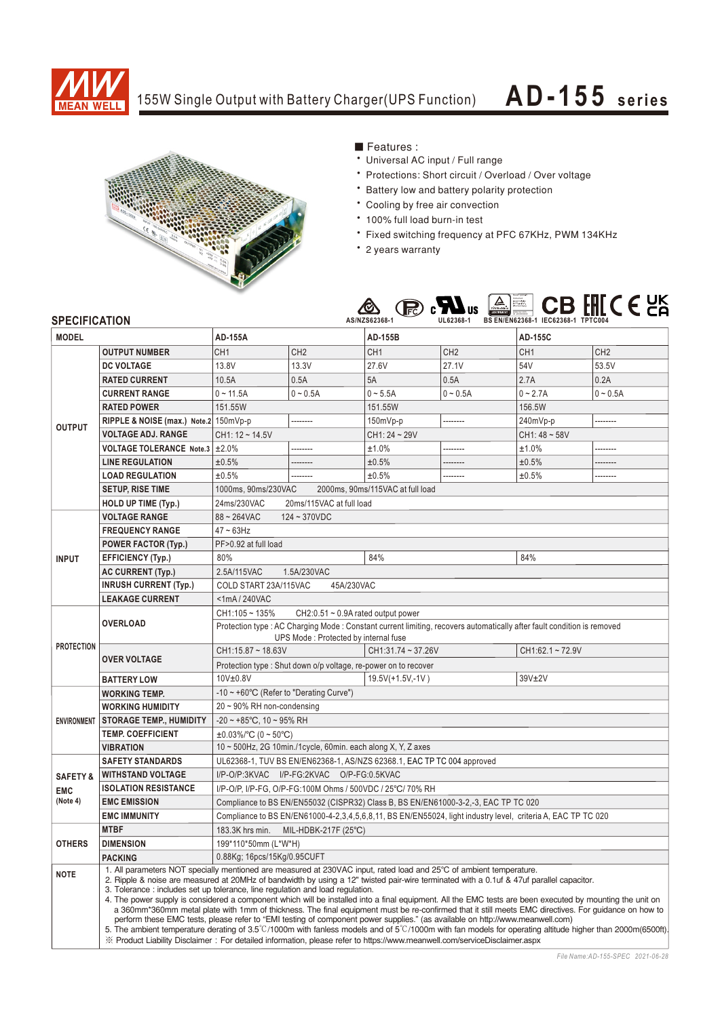

## 155W Single Output with Battery Charger(UPS Function)

## **AD-155 seri es**



**E** Features:

- Universal AC input / Full range
- \* Protections: Short circuit / Overload / Over voltage
- \* Battery low and battery polarity protection
- \* Cooling by free air convection
- \* 100% full load burn-in test
- \* Fixed switching frequency at PFC 67KHz, PWM 134KHz
- \* 2 years warranty



## **SPECIFICATION MODEL DC VOLTAGE RATED CURRENT CURRENT RANGE RATED POWER OUTPUT VOLTAGE ADJ. RANGE LINE REGULATION LOAD REGULATION SETUP, RISE TIME HOLD UP TIME (Typ.) VOLTAGE RANGE FREQUENCY RANGE INPUT EFFICIENCY (Typ.) INRUSH CURRENT (Typ.) LEAKAGE CURRENT SAFETY STANDARDS WORKING TEMP. WORKING HUMIDITY STORAGE TEMP., HUMIDITY TEMP. COEFFICIENT VIBRATION MTBF OTHERS DIMENSION NOTE PACKING OVERLOAD OVER VOLTAGE BATTERY LOW AC CURRENT (Typ.)** 1000ms, 90ms/230VAC 2000ms, 90ms/115VAC at full load 24ms/230VAC 20ms/115VAC at full load  $88 \sim 264$ VAC  $124 \sim 370$ VDC  $47 - 63$ Hz  $80\%$  84% 80% 80% 2.5A/115VAC 1.5A/230VAC COLD START 23A/115VAC 45A/230VAC <1mA / 240VAC CH1:105 ~ 135% CH2:0.51 ~ 0.9A rated output power CH1:15.87 ~ 18.63V 10V±0.8V 19.5V(+1.5V,-1V) 39V±2V CH1:31.74 ~ 37.26V CH1:62.1 ~ 72.9V Protection type : Shut down o/p voltage, re-power on to recover UL62368-1, TUV BS EN/EN62368-1, AS/NZS 62368.1, EAC TP TC 004 approved Compliance to BS EN/EN55032 (CISPR32) Class B, BS EN/EN61000-3-2,-3, EAC TP TC 020 Compliance to BS EN/EN61000-4-2,3,4,5,6,8,11, BS EN/EN55024, light industry level, criteria A, EAC TP TC 020 -10 ~ +60℃ (Refer to "Derating Curve") 20 ~ 90% RH non-condensing -20 ~ +85℃, 10 ~ 95% RH ±0.03%/℃ (0 ~ 50℃) 10 ~ 500Hz, 2G 10min./1cycle, 60min. each along X, Y, Z axes 183.3K hrs min. MIL-HDBK-217F (25℃) 199\*110\*50mm (L\*W\*H) 0.88Kg; 16pcs/15Kg/0.95CUFT **POWER FACTOR (Typ.)** | PF>0.92 at full load **RIPPLE & NOISE (max.) Note.2 VOLTAGE TOLERANCE Note.3 ENVIRONMENT SAFETY & EMC (Note 4) PROTECTION WITHSTAND VOLTAGE ISOLATION RESISTANCE** I/P-O/P:3KVAC I/P-FG:2KVAC O/P-FG:0.5KVAC I/P-O/P, I/P-FG, O/P-FG:100M Ohms / 500VDC / 25℃/ 70% RH 1. All parameters NOT specially mentioned are measured at 230VAC input, rated load and 25°C of ambient temperature. 2. Ripple & noise are measured at 20MHz of bandwidth by using a 12" twisted pair-wire terminated with a 0.1uf & 47uf parallel capacitor. 3. Tolerance : includes set up tolerance, line regulation and load regulation. 4. The power supply is considered a component which will be installed into a final equipment. All the EMC tests are been executed by mounting the unit on a 360mm\*360mm metal plate with 1mm of thickness. The final equipment must be re-confirmed that it still meets EMC directives. For guidance on how to perform these EMC tests, please refer to "EMI testing of component power supplies." (as available on http://www.meanwell.com)<br>5. The ambient temperature derating of 3.5°C/1000m with fanless models and of 5°C/1000m with fan ※ Product Liability Disclaimer: For detailed information, please refer to https://www.meanwell.com/serviceDisclaimer.aspx **OUTPUT NUMBER** CH1 **AD-155A AD-155B AD-155C** 13.8V 13.3V CH<sub>2</sub> 27.1V C<sub>H2</sub> 53.5V CH<sub>2</sub> 27.6V CH<sub>1</sub> 54V CH<sub>1</sub> 10.5A | 0.5A | 5A | 0.5A | 2.7A | 0.2A 0 ~ 11.5A 0 ~ 0.5A 0 ~ 5.5A 0 ~ 0.5A 0 ~ 2.7A 0 ~ 0.5A 151.55W 151.55W 156.5W 150mVp-p -------- 150mVp-p -------- 240mVp-p -------- CH1: 12 ~ 14.5V CH1: 24 ~ 29V CH1: 24 ~ 29V ±2.0% -------- -------- -------- -------- -------- -------- -------- -------- --------  $\pm 1.0\%$   $\left| \begin{array}{ccc} 1.0\% & \star \end{array} \right|$ ±0.5% ±0.5% ±0.5% ±0.5% ±0.5% ±0.5% Protection type : AC Charging Mode : Constant current limiting, recovers automatically after fault condition is removed UPS Mode : Protected by internal fuse **EMC IMMUNITY EMC EMISSION**